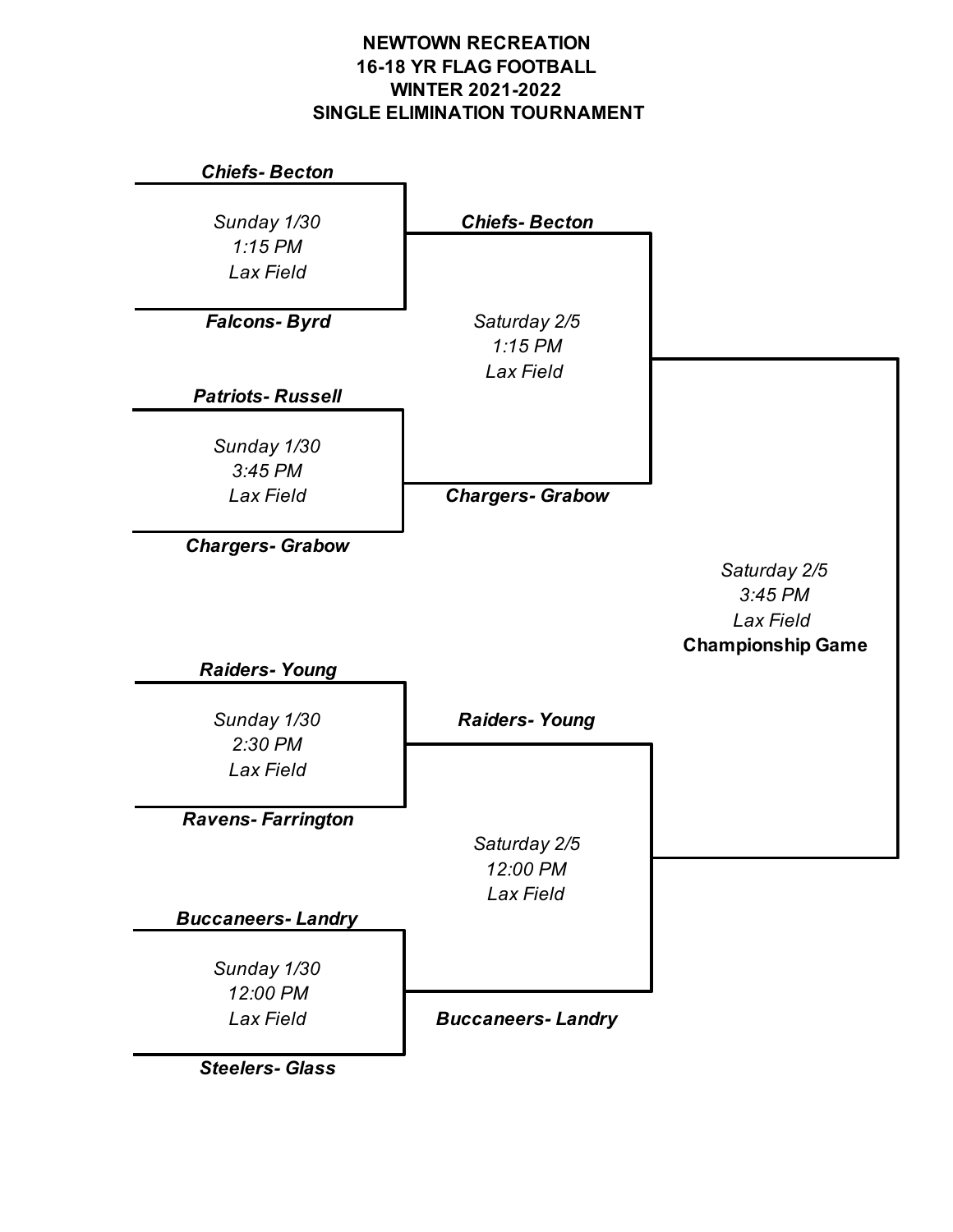## **NEWTOWN RECREATION 16-18 YR FLAG FOOTBALL WINTER 2021-2022 SINGLE ELIMINATION TOURNAMENT**



*Steelers- Glass*